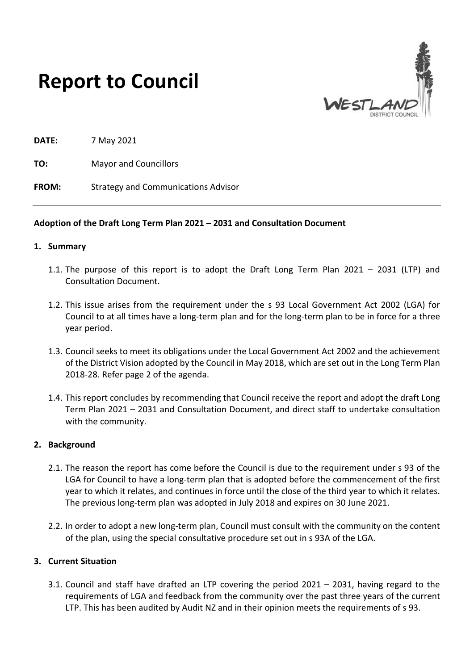



**DATE:** 7 May 2021

**TO:** Mayor and Councillors

**FROM:** Strategy and Communications Advisor

#### **Adoption of the Draft Long Term Plan 2021 – 2031 and Consultation Document**

#### **1. Summary**

- 1.1. The purpose of this report is to adopt the Draft Long Term Plan 2021 2031 (LTP) and Consultation Document.
- 1.2. This issue arises from the requirement under the s 93 Local Government Act 2002 (LGA) for Council to at all times have a long-term plan and for the long-term plan to be in force for a three year period.
- 1.3. Council seeks to meet its obligations under the Local Government Act 2002 and the achievement of the District Vision adopted by the Council in May 2018, which are set out in the Long Term Plan 2018-28. Refer page 2 of the agenda.
- 1.4. This report concludes by recommending that Council receive the report and adopt the draft Long Term Plan 2021 – 2031 and Consultation Document, and direct staff to undertake consultation with the community.

#### **2. Background**

- 2.1. The reason the report has come before the Council is due to the requirement under s 93 of the LGA for Council to have a long-term plan that is adopted before the commencement of the first year to which it relates, and continues in force until the close of the third year to which it relates. The previous long-term plan was adopted in July 2018 and expires on 30 June 2021.
- 2.2. In order to adopt a new long-term plan, Council must consult with the community on the content of the plan, using the special consultative procedure set out in s 93A of the LGA.

## **3. Current Situation**

3.1. Council and staff have drafted an LTP covering the period 2021 – 2031, having regard to the requirements of LGA and feedback from the community over the past three years of the current LTP. This has been audited by Audit NZ and in their opinion meets the requirements of s 93.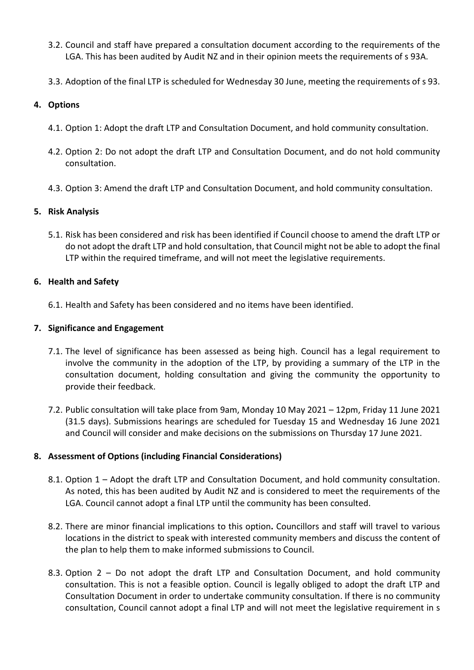- 3.2. Council and staff have prepared a consultation document according to the requirements of the LGA. This has been audited by Audit NZ and in their opinion meets the requirements of s 93A.
- 3.3. Adoption of the final LTP is scheduled for Wednesday 30 June, meeting the requirements of s 93.

# **4. Options**

- 4.1. Option 1: Adopt the draft LTP and Consultation Document, and hold community consultation.
- 4.2. Option 2: Do not adopt the draft LTP and Consultation Document, and do not hold community consultation.
- 4.3. Option 3: Amend the draft LTP and Consultation Document, and hold community consultation.

# **5. Risk Analysis**

5.1. Risk has been considered and risk has been identified if Council choose to amend the draft LTP or do not adopt the draft LTP and hold consultation, that Council might not be able to adopt the final LTP within the required timeframe, and will not meet the legislative requirements.

## **6. Health and Safety**

6.1. Health and Safety has been considered and no items have been identified.

## **7. Significance and Engagement**

- 7.1. The level of significance has been assessed as being high. Council has a legal requirement to involve the community in the adoption of the LTP, by providing a summary of the LTP in the consultation document, holding consultation and giving the community the opportunity to provide their feedback.
- 7.2. Public consultation will take place from 9am, Monday 10 May 2021 12pm, Friday 11 June 2021 (31.5 days). Submissions hearings are scheduled for Tuesday 15 and Wednesday 16 June 2021 and Council will consider and make decisions on the submissions on Thursday 17 June 2021.

# **8. Assessment of Options (including Financial Considerations)**

- 8.1. Option 1 Adopt the draft LTP and Consultation Document, and hold community consultation. As noted, this has been audited by Audit NZ and is considered to meet the requirements of the LGA. Council cannot adopt a final LTP until the community has been consulted.
- 8.2. There are minor financial implications to this option**.** Councillors and staff will travel to various locations in the district to speak with interested community members and discuss the content of the plan to help them to make informed submissions to Council.
- 8.3. Option 2 Do not adopt the draft LTP and Consultation Document, and hold community consultation. This is not a feasible option. Council is legally obliged to adopt the draft LTP and Consultation Document in order to undertake community consultation. If there is no community consultation, Council cannot adopt a final LTP and will not meet the legislative requirement in s